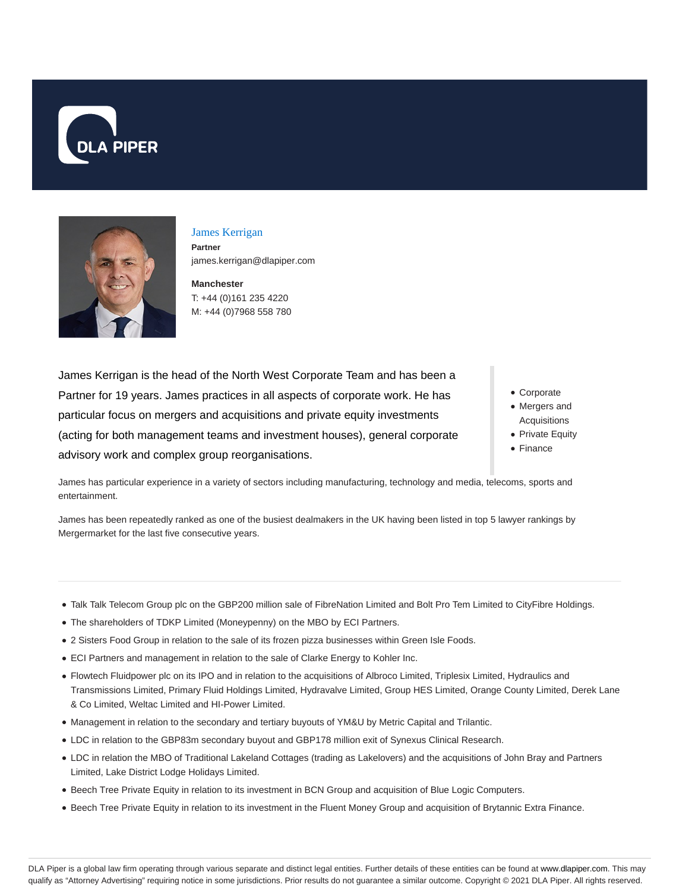



## James Kerrigan **Partner**

james.kerrigan@dlapiper.com

**Manchester** T: +44 (0)161 235 4220 M: +44 (0)7968 558 780

James Kerrigan is the head of the North West Corporate Team and has been a Partner for 19 years. James practices in all aspects of corporate work. He has particular focus on mergers and acquisitions and private equity investments (acting for both management teams and investment houses), general corporate advisory work and complex group reorganisations.

- Corporate
- Mergers and Acquisitions
- Private Equity
- Finance

James has particular experience in a variety of sectors including manufacturing, technology and media, telecoms, sports and entertainment.

James has been repeatedly ranked as one of the busiest dealmakers in the UK having been listed in top 5 lawyer rankings by Mergermarket for the last five consecutive years.

- Talk Talk Telecom Group plc on the GBP200 million sale of FibreNation Limited and Bolt Pro Tem Limited to CityFibre Holdings.
- The shareholders of TDKP Limited (Moneypenny) on the MBO by ECI Partners.
- 2 Sisters Food Group in relation to the sale of its frozen pizza businesses within Green Isle Foods.
- ECI Partners and management in relation to the sale of Clarke Energy to Kohler Inc.
- Flowtech Fluidpower plc on its IPO and in relation to the acquisitions of Albroco Limited, Triplesix Limited, Hydraulics and Transmissions Limited, Primary Fluid Holdings Limited, Hydravalve Limited, Group HES Limited, Orange County Limited, Derek Lane & Co Limited, Weltac Limited and HI-Power Limited.
- Management in relation to the secondary and tertiary buyouts of YM&U by Metric Capital and Trilantic.
- LDC in relation to the GBP83m secondary buyout and GBP178 million exit of Synexus Clinical Research.
- LDC in relation the MBO of Traditional Lakeland Cottages (trading as Lakelovers) and the acquisitions of John Bray and Partners Limited, Lake District Lodge Holidays Limited.
- Beech Tree Private Equity in relation to its investment in BCN Group and acquisition of Blue Logic Computers.
- Beech Tree Private Equity in relation to its investment in the Fluent Money Group and acquisition of Brytannic Extra Finance.